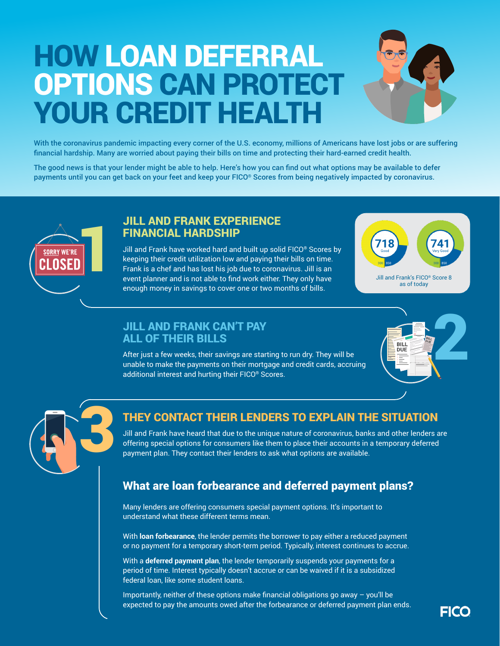# HOW LOAN DEFERRAL OPTIONS CAN PROTECT YOUR CREDIT HEALTH



With the coronavirus pandemic impacting every corner of the U.S. economy, millions of Americans have lost jobs or are suffering financial hardship. Many are worried about paying their bills on time and protecting their hard-earned credit health.

The good news is that your lender might be able to help. Here's how you can find out what options may be available to defer payments until you can get back on your feet and keep your FICO® Scores from being negatively impacted by coronavirus.



#### JILL AND FRANK EXPERIENCE FINANCIAL HARDSHIP

Jill and Frank have worked hard and built up solid FICO® Scores by keeping their credit utilization low and paying their bills on time. Frank is a chef and has lost his job due to coronavirus. Jill is an event planner and is not able to find work either. They only have enough money in savings to cover one or two months of bills.



as of today

## ALL OF THEIR BILLS

After just a few weeks, their savings are starting to run dry. They will be unable to make the payments on their mortgage and credit cards, accruing additional interest and hurting their FICO® Scores.





#### THEY CONTACT THEIR LENDERS TO EXPLAIN THE SITUATION

Jill and Frank have heard that due to the unique nature of coronavirus, banks and other lenders are offering special options for consumers like them to place their accounts in a temporary deferred payment plan. They contact their lenders to ask what options are available.

### What are loan forbearance and deferred payment plans?

Many lenders are offering consumers special payment options. It's important to understand what these different terms mean.

With **loan forbearance**, the lender permits the borrower to pay either a reduced payment or no payment for a temporary short-term period. Typically, interest continues to accrue.

With a **deferred payment plan**, the lender temporarily suspends your payments for a period of time. Interest typically doesn't accrue or can be waived if it is a subsidized federal loan, like some student loans.

Importantly, neither of these options make financial obligations go away – you'll be expected to pay the amounts owed after the forbearance or deferred payment plan ends.